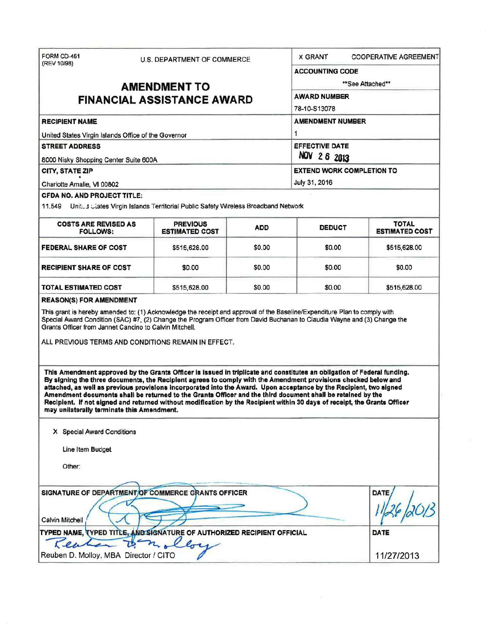| FORM CD-451                                                                                                                                                                                                                                                                                                                                                                                                                                                                                                                                                                                                                                                                                                      |                                          | U.S. DEPARTMENT OF COMMERCE |                                            | <b>X GRANT</b><br><b>COOPERATIVE AGREEMENT</b> |  |
|------------------------------------------------------------------------------------------------------------------------------------------------------------------------------------------------------------------------------------------------------------------------------------------------------------------------------------------------------------------------------------------------------------------------------------------------------------------------------------------------------------------------------------------------------------------------------------------------------------------------------------------------------------------------------------------------------------------|------------------------------------------|-----------------------------|--------------------------------------------|------------------------------------------------|--|
| (REV 10/98)<br><b>AMENDMENT TO</b><br><b>FINANCIAL ASSISTANCE AWARD</b>                                                                                                                                                                                                                                                                                                                                                                                                                                                                                                                                                                                                                                          |                                          |                             | <b>ACCOUNTING CODE</b>                     |                                                |  |
|                                                                                                                                                                                                                                                                                                                                                                                                                                                                                                                                                                                                                                                                                                                  |                                          |                             | **See Attached**                           |                                                |  |
|                                                                                                                                                                                                                                                                                                                                                                                                                                                                                                                                                                                                                                                                                                                  |                                          |                             | <b>AWARD NUMBER</b>                        |                                                |  |
|                                                                                                                                                                                                                                                                                                                                                                                                                                                                                                                                                                                                                                                                                                                  |                                          |                             | 78-10-S13078                               |                                                |  |
| <b>RECIPIENT NAME</b>                                                                                                                                                                                                                                                                                                                                                                                                                                                                                                                                                                                                                                                                                            |                                          |                             | <b>AMENDMENT NUMBER</b>                    |                                                |  |
| United States Virgin Islands Office of the Governor<br><b>STREET ADDRESS</b>                                                                                                                                                                                                                                                                                                                                                                                                                                                                                                                                                                                                                                     |                                          |                             | 1<br><b>EFFECTIVE DATE</b><br>NOV 2 6 2013 |                                                |  |
|                                                                                                                                                                                                                                                                                                                                                                                                                                                                                                                                                                                                                                                                                                                  |                                          |                             |                                            |                                                |  |
|                                                                                                                                                                                                                                                                                                                                                                                                                                                                                                                                                                                                                                                                                                                  |                                          |                             | July 31, 2016                              |                                                |  |
| Charlotte Amalie, VI 00802<br><b>CFDA NO. AND PROJECT TITLE:</b>                                                                                                                                                                                                                                                                                                                                                                                                                                                                                                                                                                                                                                                 |                                          |                             |                                            |                                                |  |
| 11.549 United Clares Virgin Islands Territorial Public Safety Wireless Broadband Network                                                                                                                                                                                                                                                                                                                                                                                                                                                                                                                                                                                                                         |                                          |                             |                                            |                                                |  |
| <b>COSTS ARE REVISED AS</b><br><b>FOLLOWS:</b>                                                                                                                                                                                                                                                                                                                                                                                                                                                                                                                                                                                                                                                                   | <b>PREVIOUS</b><br><b>ESTIMATED COST</b> | <b>ADD</b>                  | <b>DEDUCT</b>                              | <b>TOTAL</b><br><b>ESTIMATED COST</b>          |  |
| FEDERAL SHARE OF COST                                                                                                                                                                                                                                                                                                                                                                                                                                                                                                                                                                                                                                                                                            | \$515,628.00                             | \$0.00                      | \$0.00                                     | \$515,628.00                                   |  |
| <b>RECIPIENT SHARE OF COST</b>                                                                                                                                                                                                                                                                                                                                                                                                                                                                                                                                                                                                                                                                                   | \$0.00                                   | \$0.00                      | \$0.00                                     | \$0.00                                         |  |
| <b>TOTAL ESTIMATED COST</b>                                                                                                                                                                                                                                                                                                                                                                                                                                                                                                                                                                                                                                                                                      | \$515,628.00                             | \$0.00                      | \$0.00                                     | \$515,628.00                                   |  |
| ALL PREVIOUS TERMS AND CONDITIONS REMAIN IN EFFECT.<br>This Amendment approved by the Grants Officer is issued in triplicate and constitutes an obligation of Federal funding.<br>By signing the three documents, the Recipient agrees to comply with the Amendment provisions checked below and<br>attached, as well as previous provisions incorporated into the Award. Upon acceptance by the Recipient, two signed<br>Amendment documents shall be returned to the Grants Officer and the third document shall be retained by the<br>Recipient. If not signed and returned without modification by the Recipient within 30 days of receipt, the Grants Officer<br>may unilaterally terminate this Amendment. |                                          |                             |                                            |                                                |  |
| X Special Award Conditions<br>Line Item Budget<br>Other:                                                                                                                                                                                                                                                                                                                                                                                                                                                                                                                                                                                                                                                         |                                          |                             |                                            |                                                |  |
|                                                                                                                                                                                                                                                                                                                                                                                                                                                                                                                                                                                                                                                                                                                  |                                          |                             |                                            |                                                |  |
| SIGNATURE OF DEPARTMENT OF COMMERCE GRANTS OFFICER<br>Calvin Mitchell                                                                                                                                                                                                                                                                                                                                                                                                                                                                                                                                                                                                                                            |                                          |                             |                                            | <b>DATE</b>                                    |  |
| TYPED NAME, TYPED TITLE, AND SIGNATURE OF AUTHORIZED RECIPIENT OFFICIAL<br>Kea                                                                                                                                                                                                                                                                                                                                                                                                                                                                                                                                                                                                                                   | Den allo                                 |                             |                                            | DATE                                           |  |
| Reuben D. Molloy, MBA Director / CITO                                                                                                                                                                                                                                                                                                                                                                                                                                                                                                                                                                                                                                                                            |                                          |                             |                                            | 11/27/2013                                     |  |

 $\overline{\mathcal{N}}$